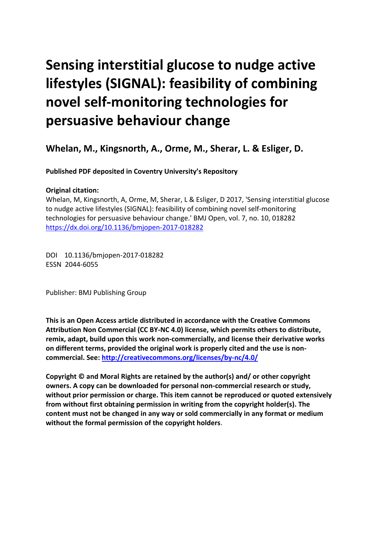# **Sensing interstitial glucose to nudge active lifestyles (SIGNAL): feasibility of combining novel self-monitoring technologies for persuasive behaviour change**

**Whelan, M., Kingsnorth, A., Orme, M., Sherar, L. & Esliger, D.** 

**Published PDF deposited in Coventry University's Repository** 

# **Original citation:**

Whelan, M, Kingsnorth, A, Orme, M, Sherar, L & Esliger, D 2017, 'Sensing interstitial glucose to nudge active lifestyles (SIGNAL): feasibility of combining novel self-monitoring technologies for persuasive behaviour change.' BMJ Open, vol. 7, no. 10, 018282 https://dx.doi.org/10.1136/bmjopen-2017-018282

 DOI 10.1136/bmjopen-2017-018282 ESSN 2044-6055

Publisher: BMJ Publishing Group

**This is an Open Access article distributed in accordance with the Creative Commons Attribution Non Commercial (CC BY-NC 4.0) license, which permits others to distribute, remix, adapt, build upon this work non-commercially, and license their derivative works on different terms, provided the original work is properly cited and the use is noncommercial. See:<http://creativecommons.org/licenses/by-nc/4.0/>**

**Copyright © and Moral Rights are retained by the author(s) and/ or other copyright owners. A copy can be downloaded for personal non-commercial research or study, without prior permission or charge. This item cannot be reproduced or quoted extensively from without first obtaining permission in writing from the copyright holder(s). The content must not be changed in any way or sold commercially in any format or medium without the formal permission of the copyright holders**.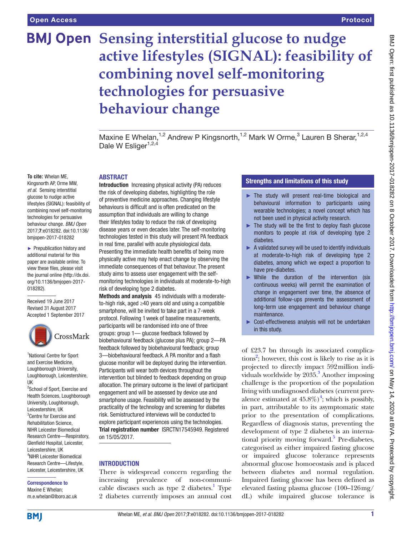# **BMJ Open Sensing interstitial glucose to nudge active lifestyles (SIGNAL): feasibility of combining novel self-monitoring technologies for persuasive behaviour change**

Maxine E Whelan,<sup>1,2</sup> Andrew P Kingsnorth,<sup>1,2</sup> Mark W Orme,<sup>3</sup> Lauren B Sherar,<sup>1,2,4</sup> Dale W Esliger<sup>1,2,4</sup>

#### **To cite:** Whelan ME,

Kingsnorth AP, Orme MW, *et al*. Sensing interstitial glucose to nudge active lifestyles (SIGNAL): feasibility of combining novel self-monitoring technologies for persuasive behaviour change. *BMJ Open*  2017;7:e018282. doi:10.1136/ bmjopen-2017-018282

 the journal online [\(http://dx.doi.](http://dx.doi.org/10.1136/bmjopen-2017-018282) [org/10.1136/bmjopen-2017-](http://dx.doi.org/10.1136/bmjopen-2017-018282) ► Prepublication history and additional material for this paper are available online. To view these fles, please visit [018282\)](http://dx.doi.org/10.1136/bmjopen-2017-018282).

Received 19 June 2017 Revised 31 August 2017 Accepted 1 September 2017



1 National Centre for Sport and Exercise Medicine, Loughborough University, Loughborough, Leicestershire, UK

<sup>2</sup>School of Sport, Exercise and Health Sciences, Loughborough University, Loughborough, Leicestershire, UK 3 Centre for Exercise and Rehabilitation Science, NIHR Leicester Biomedical Research Centre—Respiratory, Glenfield Hospital, Leicester, Leicestershire, UK 4 NIHR Leicester Biomedical Research Centre—Lifestyle, Leicester, Leicestershire, UK

# correspondence to Maxine E Whelan;

m.e.whelan@lboro.ac.uk

## **ABSTRACT**

Introduction Increasing physical activity (PA) reduces the risk of developing diabetes, highlighting the role of preventive medicine approaches. Changing lifestyle behaviours is difficult and is often predicated on the assumption that individuals are willing to change their lifestyles today to reduce the risk of developing disease years or even decades later. The self-monitoring technologies tested in this study will present PA feedback in real time, parallel with acute physiological data. Presenting the immediate health benefits of being more physically active may help enact change by observing the immediate consequences of that behaviour. The present study aims to assess user engagement with the selfmonitoring technologies in individuals at moderate-to-high risk of developing type 2 diabetes.

Methods and analysis 45 individuals with a moderateto-high risk, aged ≥40 years old and using a compatible smartphone, will be invited to take part in a 7-week protocol. Following 1 week of baseline measurements, participants will be randomised into one of three groups: group 1— glucose feedback followed by biobehavioural feedback (glucose plus PA); group 2—PA feedback followed by biobehavioural feedback; group 3-biobehavioural feedback. A PA monitor and a flash glucose monitor will be deployed during the intervention. Participants will wear both devices throughout the intervention but blinded to feedback depending on group allocation. The primary outcome is the level of participant engagement and will be assessed by device use and smartphone usage. Feasibility will be assessed by the practicality of the technology and screening for diabetes risk. Semistructured interviews will be conducted to explore participant experiences using the technologies. Trial registration number <ISRCTN17545949>. Registered on 15/05/2017.

## **INTRODUCTION**

There is widespread concern regarding the increasing prevalence of non-communicable diseases such as type  $2$  diabetes.<sup>1</sup> Type 2 diabetes currently imposes an annual cost

## strengths and limitations of this study

- ► The study will present real-time biological and behavioural information to participants using wearable technologies; a novel concept which has not been used in physical activity research.
- $\blacktriangleright$  The study will be the first to deploy flash glucose monitors to people at risk of developing type 2 diabetes.
- $\blacktriangleright$  A validated survey will be used to identify individuals at moderate-to-high risk of developing type 2 diabetes, among which we expect a proportion to have pre-diabetes.
- ► While the duration of the intervention (six continuous weeks) will permit the examination of change in engagement over time, the absence of additional follow-ups prevents the assessment of long-term use engagement and behaviour change maintenance.
- ► Cost-effectiveness analysis will not be undertaken in this study.

of £23.7 bn through its associated complica-tions<sup>[2](#page-9-1)</sup>; however, this cost is likely to rise as it is projected to directly impact 592million individuals worldwide by  $2035$ .<sup>3</sup> Another imposing challenge is the proportion of the population living with undiagnosed diabetes (current prevalence estimated at  $45.8\%$ <sup>4</sup>; which is possibly, in part, attributable to its asymptomatic state prior to the presentation of complications. Regardless of diagnosis status, preventing the development of type 2 diabetes is an international priority moving forward.<sup>5</sup> Pre-diabetes, categorised as either impaired fasting glucose or impaired glucose tolerance represents abnormal glucose homoeostasis and is placed between diabetes and normal regulation. Impaired fasting glucose has been defined as elevated fasting plasma glucose (100–126mg/ dL) while impaired glucose tolerance is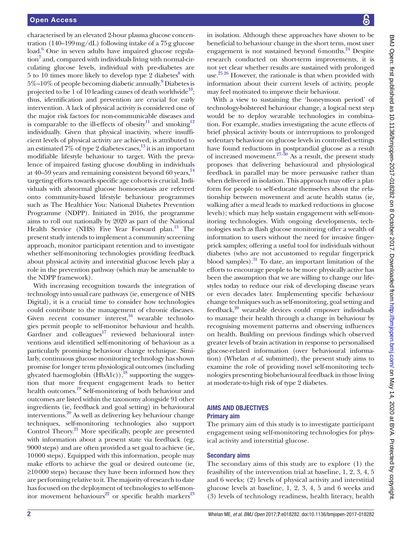tration (140–199mg/dL) following intake of a 75g glucose Health Service (NHS) Five Year Forward plan.<sup>15</sup> The characterised by an elevated 2-hour plasma glucose concenload.<sup>6</sup> One in seven adults have impaired glucose regulation<sup>7</sup> and, compared with individuals living with normal-circulating glucose levels, individual with pre-diabetes are  $5$  to  $10$  times more likely to develop type  $2$  diabetes<sup>[8](#page-9-7)</sup> with 5%–10% of people becoming diabetic annually.<sup>[9](#page-9-8)</sup> Diabetes is projected to be  $\overline{1}$  of 10 leading causes of death worldwide<sup>10</sup>; thus, identification and prevention are crucial for early intervention. A lack of physical activity is considered one of the major risk factors for non-communicable diseases and is comparable to the ill-effects of obesity<sup>11</sup> and smoking<sup>[12](#page-9-11)</sup> individually. Given that physical inactivity, where insufficient levels of physical activity are achieved, is attributed to an estimated  $7\%$  of type 2 diabetes cases,  $^{13}$  $^{13}$  $^{13}$  it is an important modifiable lifestyle behaviour to target. With the prevalence of impaired fasting glucose doubling in individuals at 40–59 years and remaining consistent beyond 60 years,  $^{14}$  $^{14}$  $^{14}$ targeting efforts towards specific age cohorts is crucial. Individuals with abnormal glucose homoeostasis are referred onto community-based lifestyle behaviour programmes such as The Healthier You: National Diabetes Prevention Programme (NDPP). Initiated in 2016, the programme aims to roll out nationally by 2020 as part of the National present study intends to implement a community screening approach, monitor participant retention and to investigate whether self-monitoring technologies providing feedback about physical activity and interstitial glucose levels play a role in the prevention pathway (which may be amenable to the NDPP framework).

With increasing recognition towards the integration of technology into usual care pathways (ie, emergence of NHS Digital), it is a crucial time to consider how technologies could contribute to the management of chronic diseases. Given recent consumer interest, $16$  wearable technologies permit people to self-monitor behaviour and health. Gardner and  $\text{colleagues}^{17}$  reviewed behavioural interventions and identified self-monitoring of behaviour as a particularly promising behaviour change technique. Similarly, continuous glucose monitoring technology has shown promise for longer term physiological outcomes (including glycated haemoglobin  $(HbA1c)$ ,<sup>18</sup> supporting the suggestion that more frequent engagement leads to better health outcomes.<sup>[19](#page-9-18)</sup> Self-monitoring of both behaviour and outcomes are listed within the taxonomy alongside 91 other ingredients (ie, feedback and goal setting) in behavioural interventions.<sup>[20](#page-9-19)</sup> As well as delivering key behaviour change techniques, self-monitoring technologies also support Control Theory.<sup>21</sup> More specifically, people are presented with information about a present state via feedback (eg, 9000 steps) and are often provided a set goal to achieve (ie, 10000 steps). Equipped with this information, people may make efforts to achieve the goal or desired outcome (ie, ≥10000 steps) because they have been informed how they are performing relative to it. The majority of research to date has focused on the deployment of technologies to self-mon-itor movement behaviours<sup>22</sup> or specific health markers<sup>[23](#page-9-22)</sup>

in isolation. Although these approaches have shown to be beneficial to behaviour change in the short term, most user engagement is not sustained beyond 6months.<sup>24</sup> Despite research conducted on short-term improvements, it is not yet clear whether results are sustained with prolonged use.<sup>25 26</sup> However, the rationale is that when provided with information about their current levels of activity, people may feel motivated to improve their behaviour.

 change techniques such as self-monitoring, goal setting and With a view to sustaining the 'honeymoon period' of technology-bolstered behaviour change, a logical next step would be to deploy wearable technologies in combination. For example, studies investigating the acute effects of brief physical activity bouts or interruptions to prolonged sedentary behaviour on glucose levels in controlled settings have found reductions in postprandial glucose as a result of increased movement.<sup>27–30</sup> As a result, the present study proposes that delivering behavioural and physiological feedback in parallel may be more persuasive rather than when delivered in isolation. This approach may offer a platform for people to self-educate themselves about the relationship between movement and acute health status (ie, walking after a meal leads to marked reductions in glucose levels); which may help sustain engagement with self-monitoring technologies. With ongoing developments, technologies such as flash glucose monitoring offer a wealth of information to users without the need for invasive fingerprick samples; offering a useful tool for individuals without diabetes (who are not accustomed to regular fingerprick blood samples). $31$  To date, an important limitation of the efforts to encourage people to be more physically active has been the assumption that we are willing to change our lifestyles today to reduce our risk of developing disease years or even decades later. Implementing specific behaviour feedback, $20$  wearable devices could empower individuals to manage their health through a change in behaviour by recognising movement patterns and observing influences on health. Building on previous findings which observed greater levels of brain activation in response to personalised glucose-related information (over behavioural information) (Whelan *et al*, submitted), the present study aims to examine the role of providing novel self-monitoring technologies presenting biobehavioural feedback in those living at moderate-to-high risk of type 2 diabetes.

#### AIMs And objectIves Primary aim

The primary aim of this study is to investigate participant engagement using self-monitoring technologies for physical activity and interstitial glucose.

# secondary aims

The secondary aims of this study are to explore (1) the feasibility of the intervention trial at baseline, 1, 2, 3, 4, 5 and 6 weeks; (2) levels of physical activity and interstitial glucose levels at baseline, 1, 2, 3, 4, 5 and 6 weeks and (3) levels of technology readiness, health literacy, health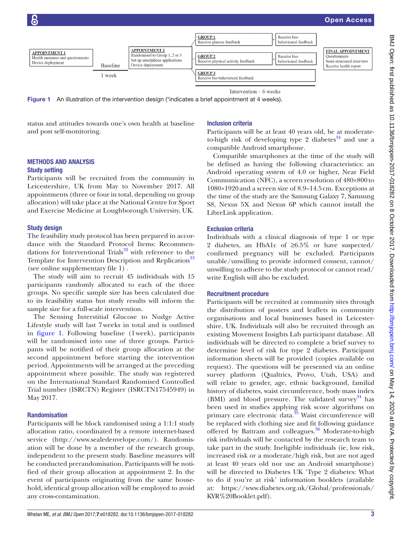

Intervention - 6 weeks

<span id="page-3-0"></span>Figure 1 An illustration of the intervention design (\*indicates a brief appointment at 4 weeks).

status and attitudes towards one's own health at baseline and post self-monitoring.

## Inclusion criteria

Participants will be at least 40 years old, be at moderateto-high risk of developing type 2 diabetes $34$  and use a compatible Android smartphone.

#### Methods And AnAlysIs study setting

Participants will be recruited from the community in Leicestershire, UK from May to November 2017. All appointments (three or four in total, depending on group allocation) will take place at the National Centre for Sport and Exercise Medicine at Loughborough University, UK.

## study design

The feasibility study protocol has been prepared in accordance with the Standard Protocol Items: Recommendations for Interventional Trials $32$  with reference to the Template for Intervention Description and Replication<sup>33</sup> (see online [supplementary file 1\)](https://dx.doi.org/10.1136/bmjopen-2017-018282) .

The study will aim to recruit 45 individuals with 15 participants randomly allocated to each of the three groups. No specific sample size has been calculated due to its feasibility status but study results will inform the sample size for a full-scale intervention.

The Sensing Interstitial Glucose to Nudge Active Lifestyle study will last 7 weeks in total and is outlined in [figure 1.](#page-3-0) Following baseline (1 week), participants will be randomised into one of three groups. Participants will be notified of their group allocation at the second appointment before starting the intervention period. Appointments will be arranged at the preceding appointment where possible. The study was registered on the International Standard Randomised Controlled Trial number (ISRCTN) Register (ISRCTN17545949) in May 2017.

## **Randomisation**

Participants will be block randomised using a 1:1:1 study allocation ratio, coordinated by a remote internet-based service [\(http://www.sealedenvelope.com/](http://www.sealedenvelope.com/)). Randomisation will be done by a member of the research group, independent to the present study. Baseline measures will be conducted prerandomisation. Participants will be notified of their group allocation at appointment 2. In the event of participants originating from the same household, identical group allocation will be employed to avoid any cross-contamination.

Compatible smartphones at the time of the study will be defined as having the following characteristics: an Android operating system of 4.0 or higher, Near Field Communication (NFC), a screen resolution of 480×800 to 1080×1920 and a screen size of 8.9–14.5 cm. Exceptions at the time of the study are the Samsung Galaxy 7, Samsung S8, Nexus 5X and Nexus 6P which cannot install the LibreLink application.

## **Exclusion criteria**

Individuals with a clinical diagnosis of type 1 or type 2 diabetes, an HbA1c of ≥6.5% or have suspected/ confirmed pregnancy will be excluded. Participants unable/unwilling to provide informed consent, cannot/ unwilling to adhere to the study protocol or cannot read/ write English will also be excluded.

#### **Recruitment procedure**

 at: [https://www.diabetes.org.uk/Global/professionals/](https://www.diabetes.org.uk/Global/professionals/KYR%20Booklet.pdf)  [KYR%20Booklet.pdf\)](https://www.diabetes.org.uk/Global/professionals/KYR%20Booklet.pdf). Participants will be recruited at community sites through the distribution of posters and leaflets in community organisations and local businesses based in Leicestershire, UK. Individuals will also be recruited through an existing Movement Insights Lab participant database. All individuals will be directed to complete a brief survey to determine level of risk for type 2 diabetes. Participant information sheets will be provided (copies available on request). The questions will be presented via an online survey platform (Qualtrics, Provo, Utah, USA) and will relate to gender, age, ethnic background, familial history of diabetes, waist circumference, body mass index (BMI) and blood pressure. The validated survey  $34$  has been used in studies applying risk score algorithms on primary care electronic data.<sup>35</sup> Waist circumference will be replaced with clothing size and fit following guidance offered by Battram and colleagues.<sup>36</sup> Moderate-to-high risk individuals will be contacted by the research team to take part in the study. Ineligible individuals (ie, low risk, increased risk or a moderate/high risk, but are not aged at least 40 years old nor use an Android smartphone) will be directed to Diabetes UK 'Type 2 diabetes: What to do if you're at risk' information booklets (available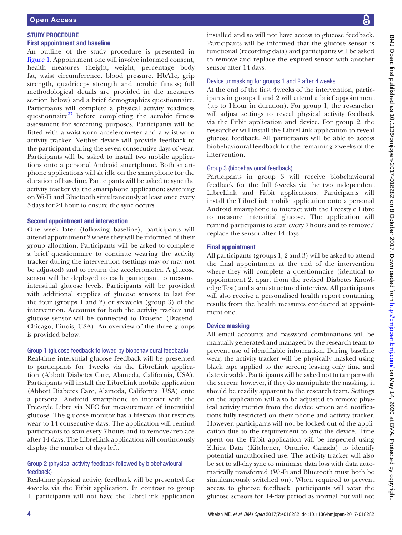## study Procedure First appointment and baseline

 5 days for ≥1 hour to ensure the sync occurs. An outline of the study procedure is presented in [figure 1.](#page-3-0) Appointment one will involve informed consent, health measures (height, weight, percentage body fat, waist circumference, blood pressure, HbA1c, grip strength, quadriceps strength and aerobic fitness; full methodological details are provided in the measures section below) and a brief demographics questionnaire. Participants will complete a physical activity readiness questionnaire $37$  before completing the aerobic fitness assessment for screening purposes. Participants will be fitted with a waist-worn accelerometer and a wrist-worn activity tracker. Neither device will provide feedback to the participant during the seven consecutive days of wear. Participants will be asked to install two mobile applications onto a personal Android smartphone. Both smartphone applications will sit idle on the smartphone for the duration of baseline. Participants will be asked to sync the activity tracker via the smartphone application; switching on Wi-Fi and Bluetooth simultaneously at least once every

## second appointment and intervention

One week later (following baseline), participants will attend appointment 2 where they will be informed of their group allocation. Participants will be asked to complete a brief questionnaire to continue wearing the activity tracker during the intervention (settings may or may not be adjusted) and to return the accelerometer. A glucose sensor will be deployed to each participant to measure interstitial glucose levels. Participants will be provided with additional supplies of glucose sensors to last for the four (groups 1 and 2) or sixweeks (group 3) of the intervention. Accounts for both the activity tracker and glucose sensor will be connected to Diasend (Diasend, Chicago, Ilinois, USA). An overview of the three groups is provided below.

## Group 1 (glucose feedback followed by biobehavioural feedback)

Real-time interstitial glucose feedback will be presented to participants for 4weeks via the LibreLink application (Abbott Diabetes Care, Alameda, California, USA). Participants will install the LibreLink mobile application (Abbott Diabetes Care, Alameda, California, USA) onto a personal Android smartphone to interact with the Freestyle Libre via NFC for measurement of interstitial glucose. The glucose monitor has a lifespan that restricts wear to 14 consecutive days. The application will remind participants to scan every 7 hours and to remove/replace after 14 days. The LibreLink application will continuously display the number of days left.

## Group 2 (physical activity feedback followed by biobehavioural feedback)

Real-time physical activity feedback will be presented for 4weeks via the Fitbit application. In contrast to group 1, participants will not have the LibreLink application

installed and so will not have access to glucose feedback. Participants will be informed that the glucose sensor is functional (recording data) and participants will be asked to remove and replace the expired sensor with another sensor after 14 days.

## Device unmasking for groups 1 and 2 after 4 weeks

At the end of the first 4 weeks of the intervention, participants in groups 1 and 2 will attend a brief appointment (up to 1 hour in duration). For group 1, the researcher will adjust settings to reveal physical activity feedback via the Fitbit application and device. For group 2, the researcher will install the LibreLink application to reveal glucose feedback. All participants will be able to access biobehavioural feedback for the remaining 2weeks of the intervention.

# Group 3 (biobehavioural feedback)

Participants in group 3 will receive biobehavioural feedback for the full 6weeks via the two independent LibreLink and Fitbit applications. Participants will install the LibreLink mobile application onto a personal Android smartphone to interact with the Freestyle Libre to measure interstitial glucose. The application will remind participants to scan every 7 hours and to remove/ replace the sensor after 14 days.

# Final appointment

All participants (groups 1, 2 and 3) will be asked to attend the final appointment at the end of the intervention where they will complete a questionnaire (identical to appointment 2, apart from the revised Diabetes Knowledge Test) and a semistructured interview. All participants will also receive a personalised health report containing results from the health measures conducted at appointment one.

# **Device masking**

All email accounts and password combinations will be manually generated and managed by the research team to prevent use of identifiable information. During baseline wear, the activity tracker will be physically masked using black tape applied to the screen; leaving only time and date viewable. Participants will be asked not to tamper with the screen; however, if they do manipulate the masking, it should be readily apparent to the research team. Settings on the application will also be adjusted to remove physical activity metrics from the device screen and notifications fully restricted on their phone and activity tracker. However, participants will not be locked out of the application due to the requirement to sync the device. Time spent on the Fitbit application will be inspected using Ethica Data (Kitchener, Ontario, Canada) to identify potential unauthorised use. The activity tracker will also be set to all-day sync to minimise data loss with data automatically transferred (Wi-Fi and Bluetooth must both be simultaneously switched on). When required to prevent access to glucose feedback, participants will wear the glucose sensors for 14-day period as normal but will not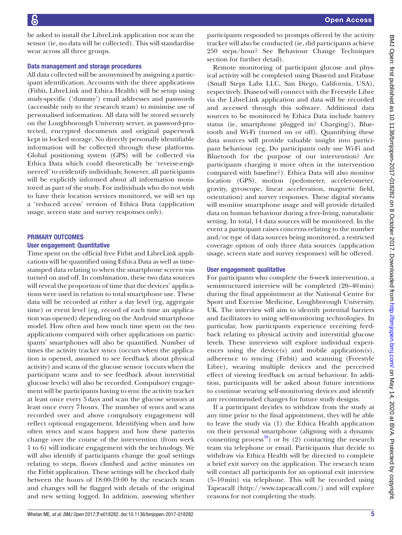be asked to install the LibreLink application nor scan the sensor (ie, no data will be collected). This will standardise wear across all three groups.

#### Data management and storage procedures

All data collected will be anonymised by assigning a participant identification. Accounts with the three applications (Fitbit, LibreLink and Ethica Health) will be setup using study-specific ('dummy') email addresses and passwords (accessible only to the research team) to minimise use of personalised information. All data will be stored securely on the Loughborough University server, as password-protected, encrypted documents and original paperwork kept in locked storage. No directly personally identifiable information will be collected through these platforms. Global positioning system (GPS) will be collected via Ethica Data which could theoretically be 'reverse-engineered' to reidentify individuals; however, all participants will be explicitly informed about all information monitored as part of the study. For individuals who do not wish to have their location services monitored, we will set up a 'reduced access' version of Ethica Data (application usage, screen state and survey responses only).

#### PRIMARY OUTCOMES

#### user engagement: Quantitative

Time spent on the official free Fitbit and LibreLink applications will be quantified using Ethica Data as well as timestamped data relating to when the smartphone screen was turned on and off. In combination, these two data sources will reveal the proportion of time that the devices' applications were used in relation to total smartphone use. These data will be recorded at either a day level (eg, aggregate time) or event level (eg, record of each time an application was opened) depending on the Android smartphone model. How often and how much time spent on the two applications compared with other applications on participants' smartphones will also be quantified. Number of times the activity tracker syncs (occurs when the application is opened, assumed to see feedback about physical activity) and scans of the glucose sensor (occurs when the participant scans and to see feedback about interstitial glucose levels) will also be recorded. Compulsory engagement will be participants having to sync the activity tracker at least once every 5 days and scan the glucose sensors at least once every 7 hours. The number of syncs and scans recorded over and above compulsory engagement will reflect optional engagement. Identifying when and how often syncs and scans happen and how these patterns change over the course of the intervention (from week 1 to 6) will indicate engagement with the technology. We will also identify if participants change the goal settings relating to steps, floors climbed and active minutes on the Fitbit application. These settings will be checked daily between the hours of 18:00-19:00 by the research team and changes will be flagged with details of the original and new setting logged. In addition, assessing whether

participants responded to prompts offered by the activity tracker will also be conducted (ie, did participants achieve 250 steps/hour? See Behaviour Change Techniques section for further detail).

Remote monitoring of participant glucose and physical activity will be completed using Diasend and Fitabase (Small Steps Labs LLC, San Diego, California, USA), respectively. Diasend will connect with the Freestyle Libre via the LibreLink application and data will be recorded and accessed through this software. Additional data sources to be monitored by Ethica Data include battery status (ie, smartphone plugged in? Charging?), Bluetooth and Wi-Fi (turned on or off). Quantifying these data sources will provide valuable insight into participant behaviour (eg, Do participants only use Wi-Fi and Bluetooth for the purpose of our intervention? Are participants charging it more often in the intervention compared with baseline?). Ethica Data will also monitor location (GPS), motion (pedometer, accelerometer, gravity, gyroscope, linear acceleration, magnetic field, orientation) and survey responses. These digital streams will monitor smartphone usage and will provide detailed data on human behaviour during a free-living, naturalistic setting. In total, 14 data sources will be monitored. In the event a participant raises concerns relating to the number and/or type of data sources being monitored, a restricted coverage option of only three data sources (application usage, screen state and survey responses) will be offered.

#### user engagement: qualitative

For participants who complete the 6-week intervention, a semistructured interview will be completed (20–40min) during the final appointment at the National Centre for Sport and Exercise Medicine, Loughborough University, UK. The interview will aim to identify potential barriers and facilitators to using self-monitoring technologies. In particular, how participants experience receiving feedback relating to physical activity and interstitial glucose levels. These interviews will explore individual experiences using the device(s) and mobile application(s), adherence to syncing (Fitbit) and scanning (Freestyle Libre), wearing multiple devices and the perceived effect of viewing feedback on actual behaviour. In addition, participants will be asked about future intentions to continue wearing self-monitoring devices and identify any recommended changes for future study designs.

 Tapeacall (<http://www.tapeacall.com/>) and will explore If a participant decides to withdraw from the study at any time prior to the final appointment, they will be able to leave the study via (1) the Ethica Health application on their personal smartphone (aligning with a dynamic consenting process<sup>38</sup>) or by (2) contacting the research team via telephone or email. Participants that decide to withdraw via Ethica Health will be directed to complete a brief exit survey on the application. The research team will contact all participants for an optional exit interview (5–10min) via telephone. This will be recorded using reasons for not completing the study.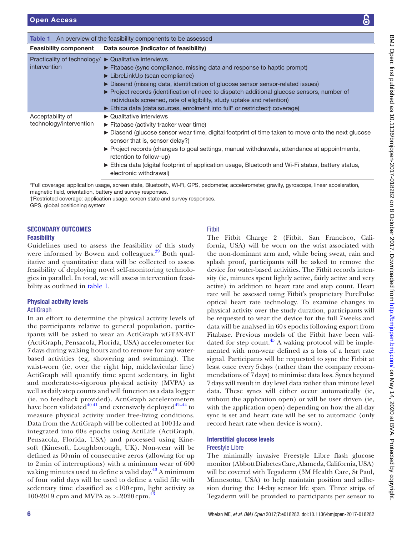<span id="page-6-0"></span>

| <b>Table 1</b> An overview of the feasibility components to be assessed     |                                                                                                                                                                                                                                                                                                                                                                                                                                                                                                                   |
|-----------------------------------------------------------------------------|-------------------------------------------------------------------------------------------------------------------------------------------------------------------------------------------------------------------------------------------------------------------------------------------------------------------------------------------------------------------------------------------------------------------------------------------------------------------------------------------------------------------|
|                                                                             | <b>Feasibility component</b> Data source (indicator of feasibility)                                                                                                                                                                                                                                                                                                                                                                                                                                               |
| Practicality of technology/ ▶ Qualitative interviews<br><i>intervention</i> | $\triangleright$ Fitabase (sync compliance, missing data and response to haptic prompt)<br>► LibreLinkUp (scan compliance)<br>► Diasend (missing data, identification of glucose sensor sensor-related issues)<br>$\triangleright$ Project records (identification of need to dispatch additional glucose sensors, number of<br>individuals screened, rate of eligibility, study uptake and retention)<br>$\triangleright$ Ethica data (data sources, enrolment into full* or restricted† coverage)               |
| Acceptability of<br>technology/intervention                                 | $\triangleright$ Qualitative interviews<br>$\triangleright$ Fitabase (activity tracker wear time)<br>► Diasend (glucose sensor wear time, digital footprint of time taken to move onto the next glucose<br>sensor that is, sensor delay?)<br>$\triangleright$ Project records (changes to goal settings, manual withdrawals, attendance at appointments,<br>retention to follow-up)<br>Ethica data (digital footprint of application usage, Bluetooth and Wi-Fi status, battery status,<br>electronic withdrawal) |

\*Full coverage: application usage, screen state, Bluetooth, Wi-Fi, GPS, pedometer, accelerometer, gravity, gyroscope, linear acceleration, magnetic field, orientation, battery and survey responses.

†Restricted coverage: application usage, screen state and survey responses.

GPS, global positioning system

## secondAry outcoMes **Feasibility**

Guidelines used to assess the feasibility of this study were informed by Bowen and colleagues.<sup>39</sup> Both qualitative and quantitative data will be collected to assess feasibility of deploying novel self-monitoring technologies in parallel. In total, we will assess intervention feasibility as outlined in [table 1](#page-6-0).

# Physical activity levels

#### **ActiGraph**

 Data from the ActiGraph will be collected at 100 Hz and sedentary time classified as <100 cpm, light activity as 100-2019 cpm and MVPA as  $>= 2020$  cpm.<sup>43</sup> In an effort to determine the physical activity levels of the participants relative to general population, participants will be asked to wear an ActiGraph wGT3X-BT (ActiGraph, Pensacola, Florida, USA) accelerometer for 7 days during waking hours and to remove for any waterbased activities (eg, showering and swimming). The waist-worn (ie, over the right hip, midclavicular line) ActiGraph will quantify time spent sedentary, in light and moderate-to-vigorous physical activity (MVPA) as well as daily step counts and will function as a data logger (ie, no feedback provided). ActiGraph accelerometers have been validated $40^{41}$  and extensively deployed $42-44$  to measure physical activity under free-living conditions. integrated into 60s epochs using ActiLife (ActiGraph, Pensacola, Florida, USA) and processed using Kinesoft (Kinesoft, Loughborough, UK). Non-wear will be defined as 60 min of consecutive zeros (allowing for up to 2 min of interruptions) with a minimum wear of 600 waking minutes used to define a valid day.<sup>43</sup> A minimum of four valid days will be used to define a valid file with

## Fitbit

The Fitbit Charge 2 (Fitbit, San Francisco, California, USA) will be worn on the wrist associated with the non-dominant arm and, while being sweat, rain and splash proof, participants will be asked to remove the device for water-based activities. The Fitbit records intensity (ie, minutes spent lightly active, fairly active and very active) in addition to heart rate and step count. Heart rate will be assessed using Fitbit's proprietary PurePulse optical heart rate technology. To examine changes in physical activity over the study duration, participants will be requested to wear the device for the full 7 weeks and data will be analysed in 60 s epochs following export from Fitabase. Previous models of the Fitbit have been validated for step count. $45$  A waking protocol will be implemented with non-wear defined as a loss of a heart rate signal. Participants will be requested to sync the Fitbit at least once every 5 days (rather than the company recommendations of 7 days) to minimise data loss. Syncs beyond 7 days will result in day level data rather than minute level data. These syncs will either occur automatically (ie, without the application open) or will be user driven (ie, with the application open) depending on how the all-day sync is set and heart rate will be set to automatic (only record heart rate when device is worn).

### Interstitial glucose levels Freestyle Libre

The minimally invasive Freestyle Libre flash glucose monitor (Abbott Diabetes Care, Alameda, California,USA) will be covered with Tegaderm (3M Health Care, St Paul, Minnesotta, USA) to help maintain position and adhesion during the 14-day sensor life span. Three strips of Tegaderm will be provided to participants per sensor to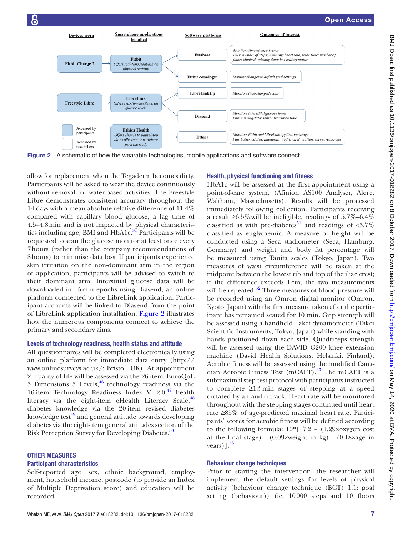

<span id="page-7-0"></span>Figure 2 A schematic of how the wearable technologies, mobile applications and software connect.

allow for replacement when the Tegaderm becomes dirty. Participants will be asked to wear the device continuously without removal for water-based activities. The Freestyle Libre demonstrates consistent accuracy throughout the 14 days with a mean absolute relative difference of 11.4% compared with capillary blood glucose, a lag time of 4.5–4.8min and is not impacted by physical characteristics including age, BMI and  $HbA1c<sup>31</sup>$  Participants will be requested to scan the glucose monitor at least once every 7 hours (rather than the company recommendations of 8 hours) to minimise data loss. If participants experience skin irritation on the non-dominant arm in the region of application, participants will be advised to switch to their dominant arm. Interstitial glucose data will be downloaded in 15min epochs using Diasend, an online platform connected to the LibreLink application. Participant accounts will be linked to Diasend from the point of LibreLink application installation. [Figure 2](#page-7-0) illustrates how the numerous components connect to achieve the primary and secondary aims.

### levels of technology readiness, health status and attitude

 [www.onlinesurveys.ac.uk/;](http://www.onlinesurveys.ac.uk/) Bristol, UK). At appointment All questionnaires will be completed electronically using an online platform for immediate data entry ([http://](http://www.onlinesurveys.ac.uk/) 2, quality of life will be assessed via the 26-item EuroQoL  $5$  Dimensions  $5$  Levels,  $46$  technology readiness via the 16-item Technology Readiness Index V.  $2.0, \frac{47}{1}$  $2.0, \frac{47}{1}$  $2.0, \frac{47}{1}$  health literacy via the eight-item eHealth Literacy Scale, $48$ diabetes knowledge via the 20-item revised diabetes knowledge test $49$  and general attitude towards developing diabetes via the eight-item general attitudes section of the Risk Perception Survey for Developing Diabetes.<sup>50</sup>

#### other MeAsures

#### Participant characteristics

Self-reported age, sex, ethnic background, employment, household income, postcode (to provide an Index of Multiple Deprivation score) and education will be recorded.

#### Health, physical functioning and fitness

 a result ≥6.5%will be ineligible, readings of 5.7%–6.4% to complete ≥1 3-min stages of stepping at a speed HbA1c will be assessed at the first appointment using a point-of-care system, (Afinion AS100 Analyser, Alere, Waltham, Massachusetts). Results will be processed immediately following collection. Participants receiving classified as with pre-diabetes<sup>[51](#page-10-17)</sup> and readings of  $\langle 5.7\%$ classified as euglycaemic. A measure of height will be conducted using a Seca stadiometer (Seca, Hamburg, Germany) and weight and body fat percentage will be measured using Tanita scales (Tokyo, Japan). Two measures of waist circumference will be taken at the midpoint between the lowest rib and top of the iliac crest; if the difference exceeds 1 cm, the two measurements will be repeated.<sup>52</sup> Three measures of blood pressure will be recorded using an Omron digital monitor (Omron, Kyoto, Japan) with the first measure taken after the participant has remained seated for 10 min. Grip strength will be assessed using a handheld Takei dynamometer (Takei Scientific Instruments, Tokyo, Japan) while standing with hands positioned down each side. Quadriceps strength will be assessed using the DAVID G200 knee extension machine (David Health Solutions, Helsinki, Finland). Aerobic fitness will be assessed using the modified Canadian Aerobic Fitness Test (mCAFT).<sup>53</sup> The mCAFT is a submaximal step-test protocol with participants instructed dictated by an audio track. Heart rate will be monitored throughout with the stepping stages continued until heart rate ≥85% of age-predicted maximal heart rate. Participants' scores for aerobic fitness will be defined according to the following formula: 10\*[17.2 + (1.29×oxygen cost at the final stage) - (0.09×weight in kg) - (0.18×age in years) $]$ .<sup>53</sup>

#### behaviour change techniques

Prior to starting the intervention, the researcher will implement the default settings for levels of physical activity (behaviour change technique (BCT) 1.1: goal setting (behaviour)) (ie, 10 000 steps and 10 floors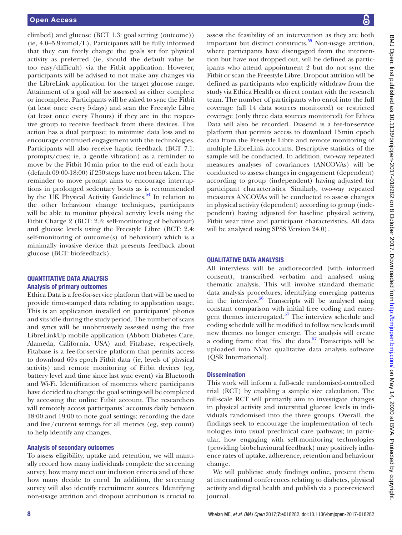climbed) and glucose (BCT 1.3: goal setting (outcome)) (ie, 4.0–5.9 mmol/L). Participants will be fully informed that they can freely change the goals set for physical activity as preferred (ie, should the default value be too easy/difficult) via the Fitbit application. However, participants will be advised to not make any changes via the LibreLink application for the target glucose range. Attainment of a goal will be assessed as either complete or incomplete. Participants will be asked to sync the Fitbit (at least once every 5 days) and scan the Freestyle Libre (at least once every 7 hours) if they are in the respective group to receive feedback from these devices. This action has a dual purpose; to minimise data loss and to encourage continued engagement with the technologies. Participants will also receive haptic feedback (BCT 7.1: prompts/cues; ie, a gentle vibration) as a reminder to move by the Fitbit 10 min prior to the end of each hour (default 09:00-18:00) if 250 steps have not been taken. The reminder to move prompt aims to encourage interruptions in prolonged sedentary bouts as is recommended by the UK Physical Activity Guidelines.<sup>54</sup> In relation to the other behaviour change techniques, participants will be able to monitor physical activity levels using the Fitbit Charge 2 (BCT: 2.3: self-monitoring of behaviour) and glucose levels using the Freestyle Libre (BCT: 2.4: self-monitoring of outcome(s) of behaviour) which is a minimally invasive device that presents feedback about glucose (BCT: biofeedback).

#### QuAntItAtIve dAtA AnAlysIs Analysis of primary outcomes

 18:00 and 19:00 to note goal settings; recording the date Ethica Data is a fee-for-service platform that will be used to provide time-stamped data relating to application usage. This is an application installed on participants' phones and sits idle during the study period. The number of scans and syncs will be unobtrusively assessed using the free LibreLinkUp mobile application (Abbott Diabetes Care, Alameda, California, USA) and Fitabase, respectively. Fitabase is a fee-for-service platform that permits access to download 60 s epoch Fitbit data (ie, levels of physical activity) and remote monitoring of Fitbit devices (eg, battery level and time since last sync event) via Bluetooth and Wi-Fi. Identification of moments where participants have decided to change the goal settings will be completed by accessing the online Fitbit account. The researchers will remotely access participants' accounts daily between and live/current settings for all metrics (eg, step count) to help identify any changes.

#### Analysis of secondary outcomes

To assess eligibility, uptake and retention, we will manually record how many individuals complete the screening survey, how many meet our inclusion criteria and of these how many decide to enrol. In addition, the screening survey will also identify recruitment sources. Identifying non-usage attrition and dropout attribution is crucial to

assess the feasibility of an intervention as they are both important but distinct constructs. $55$  Non-usage attrition, where participants have disengaged from the intervention but have not dropped out, will be defined as participants who attend appointment 2 but do not sync the Fitbit or scan the Freestyle Libre. Dropout attrition will be defined as participants who explicitly withdraw from the study via Ethica Health or direct contact with the research team. The number of participants who enrol into the full coverage (all 14 data sources monitored) or restricted coverage (only three data sources monitored) for Ethica Data will also be recorded. Diasend is a fee-for-service platform that permits access to download 15min epoch data from the Freestyle Libre and remote monitoring of multiple LibreLink accounts. Descriptive statistics of the sample will be conducted. In addition, two-way repeated measures analyses of covariances (ANCOVAs) will be conducted to assess changes in engagement (dependent) according to group (independent) having adjusted for participant characteristics. Similarly, two-way repeated measures ANCOVAs will be conducted to assess changes in physical activity (dependent) according to group (independent) having adjusted for baseline physical activity, Fitbit wear time and participant characteristics. All data will be analysed using SPSS Version 24.0).

## QuAlItAtIve dAtA AnAlysIs

All interviews will be audiorecorded (with informed consent), transcribed verbatim and analysed using thematic analysis. This will involve standard thematic data analysis procedures; identifying emerging patterns in the interview.<sup>56</sup> Transcripts will be analysed using constant comparison with initial free coding and emergent themes interrogated.<sup>57</sup> The interview schedule and coding schedule will be modified to follow new leads until new themes no longer emerge. The analysis will create a coding frame that 'fits' the data. $57$  Transcripts will be uploaded into NVivo qualitative data analysis software (QSR International).

#### **Dissemination**

This work will inform a full-scale randomised-controlled trial (RCT) by enabling a sample size calculation. The full-scale RCT will primarily aim to investigate changes in physical activity and interstitial glucose levels in individuals randomised into the three groups. Overall, the findings seek to encourage the implementation of technologies into usual preclinical care pathways; in particular, how engaging with self-monitoring technologies (providing biobehavioural feedback) may positively influence rates of uptake, adherence, retention and behaviour change.

We will publicise study findings online, present them at international conferences relating to diabetes, physical activity and digital health and publish via a peer-reviewed journal.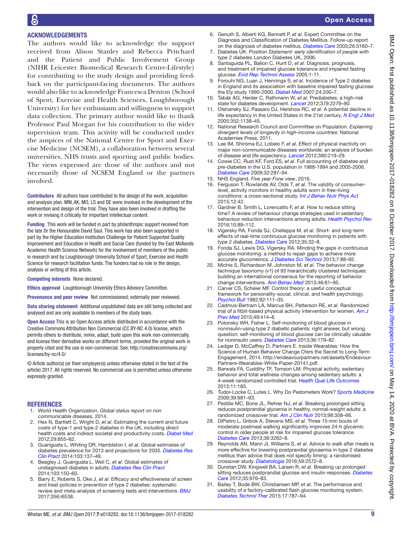# AcknowledgeMents

The authors would like to acknowledge the support received from Alison Stanley and Rebecca Pritchard and the Patient and Public Involvement Group (NIHR Leicester Biomedical Research Centre-Lifestyle) for contributing to the study design and providing feedback on the participant-facing documents. The authors would also like to acknowledge Francesca Denton (School of Sport, Exercise and Health Sciences, Loughborough University) for her enthusiasm and willingness to support data collection. The primary author would like to thank Professor Paul Morgan for his contribution to the wider supervision team. This activity will be conducted under the auspices of the National Centre for Sport and Exercise Medicine (NCSEM), a collaboration between several universities, NHS trusts and sporting and public bodies. The views expressed are those of the authors and not necessarily those of NCSEM England or the partners involved.

contributors All authors have contributed to the design of the work, acquisition and analysis plan. MW, AK, MO, LS and DE were involved in the development of the intervention and design of the trial. They have also been involved in drafting the work or revising it critically for important intellectual content.

Funding This work will be funded in part by philanthropic support received from the late Dr the Honourable David Saul. This work has also been supported in part by the Higher Education Institution Challenge for Patient Supported Quality Improvement and Education in Health and Social Care (funded by the East Midlands Academic Health Science Network) for the involvement of members of the public in research and by Loughborough University School of Sport, Exercise and Health Science for research facilitation funds. The funders had no role in the design, analysis or writing of this article.

competing interests None declared.

Ethics approval Loughborough University Ethics Advisory Committee.

Provenance and peer review Not commissioned; externally peer reviewed.

Data sharing statement Additional unpublished data are still being collected and analysed and are only available to members of the study team.

 properly cited and the use is non-commercial. See: [http://creativecommons.org/](http://creativecommons.org/licenses/by-nc/4.0/) [licenses/by-nc/4.0/](http://creativecommons.org/licenses/by-nc/4.0/)  open Access This is an Open Access article distributed in accordance with the Creative Commons Attribution Non Commercial (CC BY-NC 4.0) license, which permits others to distribute, remix, adapt, build upon this work non-commercially, and license their derivative works on different terms, provided the original work is

© Article author(s) (or their employer(s) unless otherwise stated in the text of the article) 2017. All rights reserved. No commercial use is permitted unless otherwise expressly granted.

#### **REFERENCES**

- <span id="page-9-0"></span>1. World Health Organization. *Global status report on non communicable diseases*, 2014.
- <span id="page-9-1"></span>2. Hex N, Bartlett C, Wright D, *et al*. Estimating the current and future costs of type-1 and type-2 diabetes in the UK, including direct health costs and indirect societal and productivity costs. *[Diabet Med](http://dx.doi.org/10.1111/j.1464-5491.2012.03698.x)*  2012;29:855–62.
- <span id="page-9-2"></span>3. Guariguata L, Whiting DR, Hambleton I, *et al*. Global estimates of diabetes prevalence for 2013 and projections for 2035. *[Diabetes Res](http://dx.doi.org/10.1016/j.diabres.2013.11.002)  [Clin Pract](http://dx.doi.org/10.1016/j.diabres.2013.11.002)* 2014;103:137–49.
- <span id="page-9-3"></span>4. Beagley J, Guariguata L, Weil C, *et al*. Global estimates of undiagnosed diabetes in adults. *[Diabetes Res Clin Pract](http://dx.doi.org/10.1016/j.diabres.2013.11.001)*  2014;103:150–60.
- <span id="page-9-4"></span>5. Barry E, Roberts S, Oke J, et al. Efficacy and effectiveness of screen and treat policies in prevention of type 2 diabetes: systematic review and meta-analysis of screening tests and interventions. *[BMJ](http://dx.doi.org/10.1136/bmj.i6538)*  2017;356:i6538.
- <span id="page-9-5"></span>6. Genuth S, Alberti KG, Bennett P, *et al*. Expert Committee on the Diagnosis and Classifcation of Diabetes Mellitus. Follow-up report on the diagnosis of diabetes mellitus. *Diabetes Care* 2003;26:3160–7.
- <span id="page-9-6"></span>7. Diabetes UK. *Position Statement: early identifcation of people with type 2 diabetes* London Diabetes UK, 2006.
- <span id="page-9-7"></span>8. Santaguida PL, Balion C, Hunt D, *et al*. Diagnosis, prognosis, and treatment of impaired glucose tolerance and impaired fasting glucose. *Evid Rep Technol Assess* 2005:1-11.
- <span id="page-9-8"></span>9. Forouhi NG, Luan J, Hennings S, *et al*. Incidence of Type 2 diabetes in England and its association with baseline impaired fasting glucose: the Ely study 1990-2000. *[Diabet Med](http://dx.doi.org/10.1111/j.1464-5491.2007.02068.x)* 2007;24:200–7.
- <span id="page-9-9"></span> 10. Tabák AG, Herder C, Rathmann W, *et al*. Prediabetes: a high-risk state for diabetes development. *[Lancet](http://dx.doi.org/10.1016/S0140-6736(12)60283-9)* 2012;379:2279–90.
- <span id="page-9-10"></span> 11. Olshansky SJ, Passaro DJ, Hershow RC, *et al*. A potential decline in life expectancy in the United States in the 21st century. *[N Engl J Med](http://dx.doi.org/10.1056/NEJMsr043743)*  2005;352:1138–45.
- <span id="page-9-11"></span> 12. National Research Council and Committee on Population. *Explaining divergent levels of longevity in high-income countries*: National Academies Press, 2011.
- <span id="page-9-12"></span> 13. Lee IM, Shiroma EJ, Lobelo F, *et al*. Effect of physical inactivity on major non-communicable diseases worldwide: an analysis of burden of disease and life expectancy. *[Lancet](http://dx.doi.org/10.1016/S0140-6736(12)61031-9)* 2012;380:219–29.
- <span id="page-9-13"></span> 14. Cowie CC, Rust KF, Ford ES, *et al*. Full accounting of diabetes and pre-diabetes in the U.S. population in 1988-1994 and 2005-2006. *[Diabetes Care](http://dx.doi.org/10.2337/dc08-1296)* 2009;32:287–94.
- <span id="page-9-14"></span>15. NHS England. *Five year Forw view*, 2016.
- <span id="page-9-15"></span> 16. Ferguson T, Rowlands AV, Olds T, *et al*. The validity of consumerlevel, activity monitors in healthy adults worn in free-living conditions: a cross-sectional study. *[Int J Behav Nutr Phys Act](http://dx.doi.org/10.1186/s12966-015-0201-9)*  2015;12:42.
- <span id="page-9-16"></span> 17. Gardner B, Smith L, Lorencatto F, *et al*. How to reduce sitting time? A review of behaviour change strategies used in sedentary behaviour reduction interventions among adults. *[Health Psychol Rev](http://dx.doi.org/10.1080/17437199.2015.1082146)*  2016;10:89–112.
- <span id="page-9-17"></span> 18. Vigersky RA, Fonda SJ, Chellappa M, *et al*. Short- and long-term effects of real-time continuous glucose monitoring in patients with type 2 diabetes. *[Diabetes Care](http://dx.doi.org/10.2337/dc11-1438)* 2012;35:32–8.
- <span id="page-9-18"></span> 19. Fonda SJ, Lewis DG, Vigersky RA. Minding the gaps in continuous glucose monitoring: a method to repair gaps to achieve more accurate glucometrics. *[J Diabetes Sci Technol](http://dx.doi.org/10.1177/193229681300700110)* 2013;7:88–92.
- <span id="page-9-19"></span> 20. Michie S, Richardson M, Johnston M, *et al*. The behavior change technique taxonomy (v1) of 93 hierarchically clustered techniques: building an international consensus for the reporting of behavior change interventions. *[Ann Behav Med](http://dx.doi.org/10.1007/s12160-013-9486-6)* 2013;46:81–95.
- <span id="page-9-20"></span> 21. Carver CS, Scheier MF. Control theory: a useful conceptual framework for personality-social, clinical, and health psychology. *[Psychol Bull](http://dx.doi.org/10.1037/0033-2909.92.1.111)* 1982;92:111–35.
- <span id="page-9-21"></span> 22. Cadmus-Bertram LA, Marcus BH, Patterson RE, *et al*. Randomized trial of a ftbit-based physical activity intervention for women. *[Am J](http://dx.doi.org/10.1016/j.amepre.2015.01.020)  [Prev Med](http://dx.doi.org/10.1016/j.amepre.2015.01.020)* 2015;49:414–8.
- <span id="page-9-22"></span> 23. Polonsky WH, Fisher L. Self-monitoring of blood glucose in noninsulin-using type 2 diabetic patients: right answer, but wrong question: self-monitoring of blood glucose can be clinically valuable for noninsulin users. *[Diabetes Care](http://dx.doi.org/10.2337/dc12-0731)* 2013;36:179–82.
- <span id="page-9-23"></span> 24. Ledger D, McCaffrey D, Partners E. Inside Wearables: How the Engagement, 2014. [http://endeavourpartners.net/assets/Endeavour-](http://endeavourpartners.net/assets/Endeavour-Partners-Wearables-White-Paper-20141.pdf) [Partners-Wearables-White-Paper-20141.pdf](http://endeavourpartners.net/assets/Endeavour-Partners-Wearables-White-Paper-20141.pdf). Science of Human Behavior Change O!ers the Secret to Long-Term
- <span id="page-9-24"></span> 25. Barwais FA, Cuddihy TF, Tomson LM. Physical activity, sedentary behavior and total wellness changes among sedentary adults: a 4-week randomized controlled trial. *[Health Qual Life Outcomes](http://dx.doi.org/10.1186/1477-7525-11-183)*  2013;11:183.
- 26. 26. Tudor-Locke C, Lutes L. Why Do Pedometers Work? *[Sports Medicine](http://dx.doi.org/10.2165/11319600-000000000-00000)*  2009;39:981–93.
- <span id="page-9-25"></span> 27. Peddie MC, Bone JL, Rehrer NJ, *et al*. Breaking prolonged sitting reduces postprandial glycemia in healthy, normal-weight adults: a randomized crossover trial. *[Am J Clin Nutr](http://dx.doi.org/10.3945/ajcn.112.051763)* 2013;98:358–66.
- 28. 28. DiPietro L, Gribok A, Stevens MS, *et al*. Three 15-min bouts of moderate postmeal walking significantly improves 24-h glycemic control in older people at risk for impaired glucose tolerance. *[Diabetes Care](http://dx.doi.org/10.2337/dc13-0084)* 2013;36:3262–8.
- 29. Reynolds AN, Mann JI, Williams S, *et al*. Advice to walk after meals is more effective for lowering postprandial glycaemia in type 2 diabetes mellitus than advice that does not specify timing: a randomised crossover study. *[Diabetologia](http://dx.doi.org/10.1007/s00125-016-4085-2)* 2016;59:2572–8.
- $\ddot{\phantom{0}}$ 30. Dunstan DW, Kingwell BA, Larsen R, *et al*. Breaking up prolonged sitting reduces postprandial glucose and insulin responses. *[Diabetes](http://dx.doi.org/10.2337/dc11-1931)  [Care](http://dx.doi.org/10.2337/dc11-1931)* 2012;35:976–83.
- <span id="page-9-26"></span> $31.$ 31. Bailey T, Bode BW, Christiansen MP, *et al*. The performance and usability of a factory-calibrated fash glucose monitoring system. *[Diabetes Technol Ther](http://dx.doi.org/10.1089/dia.2014.0378)* 2015;17:787–94.